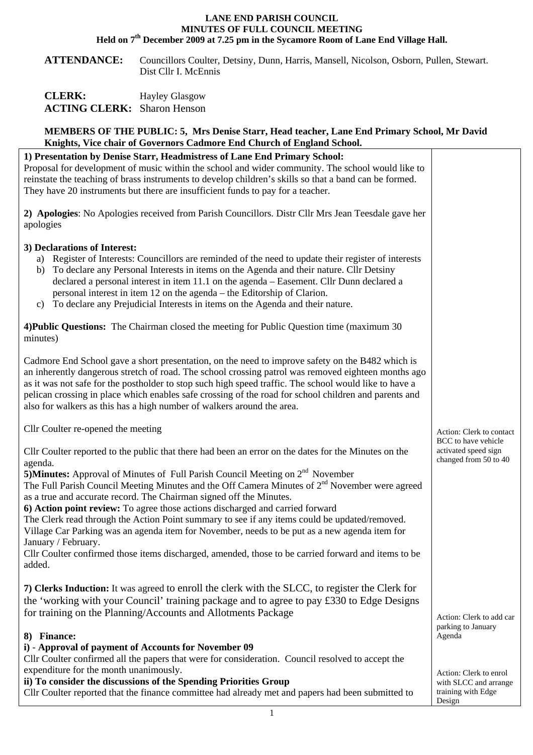## **LANE END PARISH COUNCIL MINUTES OF FULL COUNCIL MEETING Held on 7th December 2009 at 7.25 pm in the Sycamore Room of Lane End Village Hall.**

**ATTENDANCE:** Councillors Coulter, Detsiny, Dunn, Harris, Mansell, Nicolson, Osborn, Pullen, Stewart. Dist Cllr I. McEnnis

| <b>CLERK:</b>                      | <b>Hayley Glasgow</b> |
|------------------------------------|-----------------------|
| <b>ACTING CLERK:</b> Sharon Henson |                       |

## **MEMBERS OF THE PUBLIC: 5, Mrs Denise Starr, Head teacher, Lane End Primary School, Mr David Knights, Vice chair of Governors Cadmore End Church of England School.**

| http://t.co.chail.org/07/01/1019-04/01/1017-2114-01141-01-1114-1114-101-101-11-                                                                                                                                                                                                                                                                                                                                                                                                                                                                                                                                                                                                                                                                                                                                               |                                                                                                                 |
|-------------------------------------------------------------------------------------------------------------------------------------------------------------------------------------------------------------------------------------------------------------------------------------------------------------------------------------------------------------------------------------------------------------------------------------------------------------------------------------------------------------------------------------------------------------------------------------------------------------------------------------------------------------------------------------------------------------------------------------------------------------------------------------------------------------------------------|-----------------------------------------------------------------------------------------------------------------|
| 1) Presentation by Denise Starr, Headmistress of Lane End Primary School:<br>Proposal for development of music within the school and wider community. The school would like to<br>reinstate the teaching of brass instruments to develop children's skills so that a band can be formed.<br>They have 20 instruments but there are insufficient funds to pay for a teacher.                                                                                                                                                                                                                                                                                                                                                                                                                                                   |                                                                                                                 |
| 2) Apologies: No Apologies received from Parish Councillors. Distr Cllr Mrs Jean Teesdale gave her<br>apologies                                                                                                                                                                                                                                                                                                                                                                                                                                                                                                                                                                                                                                                                                                               |                                                                                                                 |
| 3) Declarations of Interest:<br>a) Register of Interests: Councillors are reminded of the need to update their register of interests<br>To declare any Personal Interests in items on the Agenda and their nature. Cllr Detsiny<br>b)<br>declared a personal interest in item 11.1 on the agenda – Easement. Cllr Dunn declared a<br>personal interest in item 12 on the agenda – the Editorship of Clarion.<br>To declare any Prejudicial Interests in items on the Agenda and their nature.<br>$\mathcal{C}$ )                                                                                                                                                                                                                                                                                                              |                                                                                                                 |
| 4) Public Questions: The Chairman closed the meeting for Public Question time (maximum 30)<br>minutes)                                                                                                                                                                                                                                                                                                                                                                                                                                                                                                                                                                                                                                                                                                                        |                                                                                                                 |
| Cadmore End School gave a short presentation, on the need to improve safety on the B482 which is<br>an inherently dangerous stretch of road. The school crossing patrol was removed eighteen months ago<br>as it was not safe for the postholder to stop such high speed traffic. The school would like to have a<br>pelican crossing in place which enables safe crossing of the road for school children and parents and<br>also for walkers as this has a high number of walkers around the area.                                                                                                                                                                                                                                                                                                                          |                                                                                                                 |
| Cllr Coulter re-opened the meeting                                                                                                                                                                                                                                                                                                                                                                                                                                                                                                                                                                                                                                                                                                                                                                                            | Action: Clerk to contact                                                                                        |
| Cllr Coulter reported to the public that there had been an error on the dates for the Minutes on the<br>agenda.<br>5) Minutes: Approval of Minutes of Full Parish Council Meeting on 2 <sup>nd</sup> November<br>The Full Parish Council Meeting Minutes and the Off Camera Minutes of 2 <sup>nd</sup> November were agreed<br>as a true and accurate record. The Chairman signed off the Minutes.<br>6) Action point review: To agree those actions discharged and carried forward<br>The Clerk read through the Action Point summary to see if any items could be updated/removed.<br>Village Car Parking was an agenda item for November, needs to be put as a new agenda item for<br>January / February.<br>Cllr Coulter confirmed those items discharged, amended, those to be carried forward and items to be<br>added. | BCC to have vehicle<br>activated speed sign<br>changed from 50 to 40                                            |
| 7) Clerks Induction: It was agreed to enroll the clerk with the SLCC, to register the Clerk for<br>the 'working with your Council' training package and to agree to pay £330 to Edge Designs<br>for training on the Planning/Accounts and Allotments Package                                                                                                                                                                                                                                                                                                                                                                                                                                                                                                                                                                  | Action: Clerk to add car                                                                                        |
| 8) Finance:<br>i) - Approval of payment of Accounts for November 09<br>Cllr Coulter confirmed all the papers that were for consideration. Council resolved to accept the<br>expenditure for the month unanimously.<br>ii) To consider the discussions of the Spending Priorities Group<br>Cllr Coulter reported that the finance committee had already met and papers had been submitted to                                                                                                                                                                                                                                                                                                                                                                                                                                   | parking to January<br>Agenda<br>Action: Clerk to enrol<br>with SLCC and arrange<br>training with Edge<br>Design |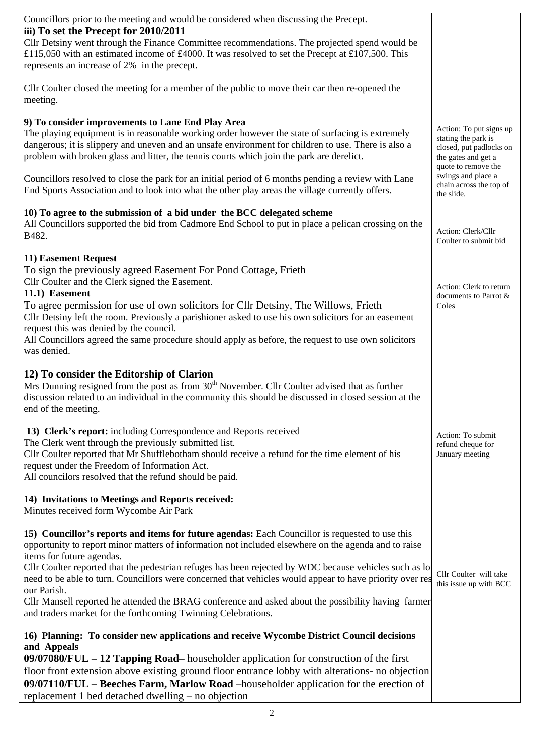| Councillors prior to the meeting and would be considered when discussing the Precept.<br>iii) To set the Precept for 2010/2011<br>Cllr Detsiny went through the Finance Committee recommendations. The projected spend would be<br>£115,050 with an estimated income of £4000. It was resolved to set the Precept at £107,500. This<br>represents an increase of 2% in the precept.                                                                                                                                          |                                                                                                                         |
|------------------------------------------------------------------------------------------------------------------------------------------------------------------------------------------------------------------------------------------------------------------------------------------------------------------------------------------------------------------------------------------------------------------------------------------------------------------------------------------------------------------------------|-------------------------------------------------------------------------------------------------------------------------|
| Cllr Coulter closed the meeting for a member of the public to move their car then re-opened the<br>meeting.                                                                                                                                                                                                                                                                                                                                                                                                                  |                                                                                                                         |
| 9) To consider improvements to Lane End Play Area<br>The playing equipment is in reasonable working order however the state of surfacing is extremely<br>dangerous; it is slippery and uneven and an unsafe environment for children to use. There is also a<br>problem with broken glass and litter, the tennis courts which join the park are derelict.                                                                                                                                                                    | Action: To put signs up<br>stating the park is<br>closed, put padlocks on<br>the gates and get a<br>quote to remove the |
| Councillors resolved to close the park for an initial period of 6 months pending a review with Lane<br>End Sports Association and to look into what the other play areas the village currently offers.                                                                                                                                                                                                                                                                                                                       | swings and place a<br>chain across the top of<br>the slide.                                                             |
| 10) To agree to the submission of a bid under the BCC delegated scheme<br>All Councillors supported the bid from Cadmore End School to put in place a pelican crossing on the<br>B482.                                                                                                                                                                                                                                                                                                                                       | Action: Clerk/Cllr<br>Coulter to submit bid                                                                             |
| 11) Easement Request<br>To sign the previously agreed Easement For Pond Cottage, Frieth<br>Cllr Coulter and the Clerk signed the Easement.<br>11.1) Easement<br>To agree permission for use of own solicitors for Cllr Detsiny, The Willows, Frieth<br>Cllr Detsiny left the room. Previously a parishioner asked to use his own solicitors for an easement<br>request this was denied by the council.<br>All Councillors agreed the same procedure should apply as before, the request to use own solicitors<br>was denied. | Action: Clerk to return<br>documents to Parrot &<br>Coles                                                               |
| 12) To consider the Editorship of Clarion<br>Mrs Dunning resigned from the post as from 30 <sup>th</sup> November. Cllr Coulter advised that as further<br>discussion related to an individual in the community this should be discussed in closed session at the<br>end of the meeting.                                                                                                                                                                                                                                     |                                                                                                                         |
| 13) Clerk's report: including Correspondence and Reports received<br>The Clerk went through the previously submitted list.<br>Cllr Coulter reported that Mr Shufflebotham should receive a refund for the time element of his<br>request under the Freedom of Information Act.<br>All councilors resolved that the refund should be paid.                                                                                                                                                                                    | Action: To submit<br>refund cheque for<br>January meeting                                                               |
| 14) Invitations to Meetings and Reports received:<br>Minutes received form Wycombe Air Park                                                                                                                                                                                                                                                                                                                                                                                                                                  |                                                                                                                         |
| 15) Councillor's reports and items for future agendas: Each Councillor is requested to use this<br>opportunity to report minor matters of information not included elsewhere on the agenda and to raise<br>items for future agendas.<br>Cllr Coulter reported that the pedestrian refuges has been rejected by WDC because vehicles such as lot                                                                                                                                                                              |                                                                                                                         |
| need to be able to turn. Councillors were concerned that vehicles would appear to have priority over res<br>our Parish.<br>Cllr Mansell reported he attended the BRAG conference and asked about the possibility having farmer                                                                                                                                                                                                                                                                                               | Cllr Coulter will take<br>this issue up with BCC                                                                        |
| and traders market for the forthcoming Twinning Celebrations.<br>16) Planning: To consider new applications and receive Wycombe District Council decisions                                                                                                                                                                                                                                                                                                                                                                   |                                                                                                                         |
| and Appeals<br>09/07080/FUL – 12 Tapping Road– householder application for construction of the first                                                                                                                                                                                                                                                                                                                                                                                                                         |                                                                                                                         |
| floor front extension above existing ground floor entrance lobby with alterations- no objection<br>09/07110/FUL - Beeches Farm, Marlow Road -householder application for the erection of<br>replacement 1 bed detached dwelling – no objection                                                                                                                                                                                                                                                                               |                                                                                                                         |